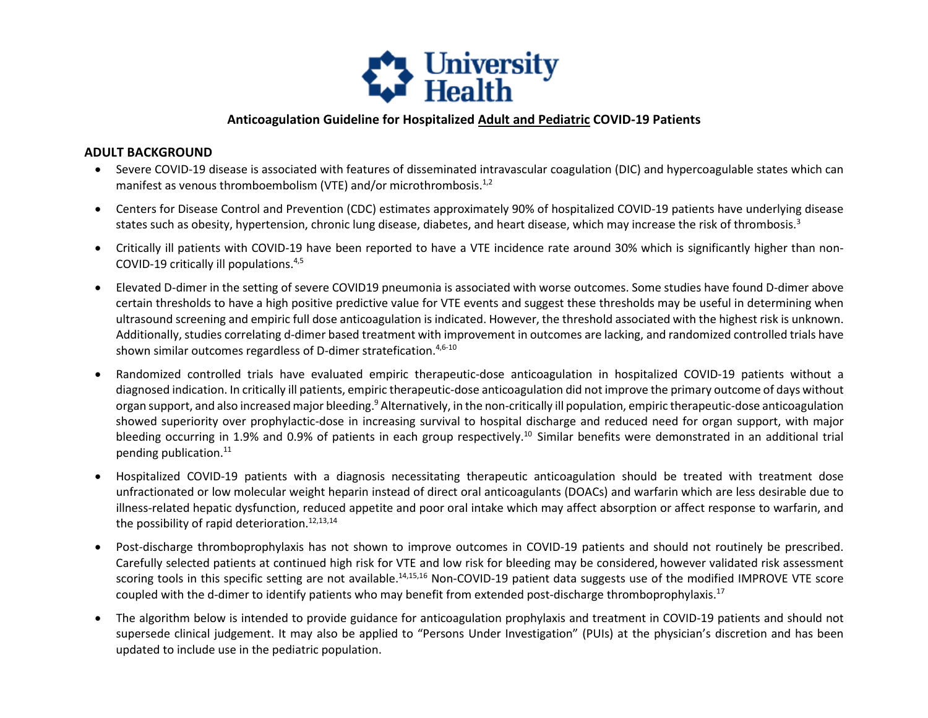

## **Anticoagulation Guideline for Hospitalized Adult and Pediatric COVID-19 Patients**

## **ADULT BACKGROUND**

- Severe COVID-19 disease is associated with features of disseminated intravascular coagulation (DIC) and hypercoagulable states which can manifest as venous thromboembolism (VTE) and/or microthrombosis.<sup>1,2</sup>
- states such as obesity, hypertension, chronic lung disease, diabetes, and heart disease, which may increase the risk of thrombosis.<sup>3</sup> • Centers for Disease Control and Prevention (CDC) estimates approximately 90% of hospitalized COVID-19 patients have underlying disease
- • Critically ill patients with COVID-19 have been reported to have a VTE incidence rate around 30% which is significantly higher than non-COVID-19 critically ill populations. 4,5
- certain thresholds to have a high positive predictive value for VTE events and suggest these thresholds may be useful in determining when ultrasound screening and empiric full dose anticoagulation is indicated. However, the threshold associated with the highest risk is unknown. Additionally, studies correlating d-dimer based treatment with improvement in outcomes are lacking, and randomized controlled trials have shown similar outcomes regardless of D-dimer stratefication.<sup>4,6-10</sup> • Elevated D-dimer in the setting of severe COVID19 pneumonia is associated with worse outcomes. Some studies have found D-dimer above
- • Randomized controlled trials have evaluated empiric therapeutic-dose anticoagulation in hospitalized COVID-19 patients without a organ support, and also increased major bleeding.<sup>9</sup> Alternatively, in the non-critically ill population, empiric therapeutic-dose anticoagulation bleeding occurring in 1.9% and 0.9% of patients in each group [respectively.](https://respectively.10)<sup>10</sup> Similar benefits were demonstrated in an additional trial pending publication.<sup>11</sup> diagnosed indication. In critically ill patients, empiric therapeutic-dose anticoagulation did not improve the primary outcome of days without showed superiority over prophylactic-dose in increasing survival to hospital discharge and reduced need for organ support, with major
- unfractionated or low molecular weight heparin instead of direct oral anticoagulants (DOACs) and warfarin which are less desirable due to • Hospitalized COVID-19 patients with a diagnosis necessitating therapeutic anticoagulation should be treated with treatment dose illness-related hepatic dysfunction, reduced appetite and poor oral intake which may affect absorption or affect response to warfarin, and the possibility of rapid deterioration.<sup>12,13,14</sup>
- Post-discharge thromboprophylaxis has not shown to improve outcomes in COVID-19 patients and should not routinely be prescribed. Carefully selected patients at continued high risk for VTE and low risk for bleeding may be considered, however validated risk assessment scoring tools in this specific setting are not available.<sup>14,15,16</sup> Non-COVID-19 patient data suggests use of the modified IMPROVE VTE score coupled with the d-dimer to identify patients who may benefit from extended post-discharge thromboprophylaxis.<sup>17</sup>
- The algorithm below is intended to provide guidance for anticoagulation prophylaxis and treatment in COVID-19 patients and should not supersede clinical judgement. It may also be applied to "Persons Under Investigation" (PUIs) at the physician's discretion and has been updated to include use in the pediatric population.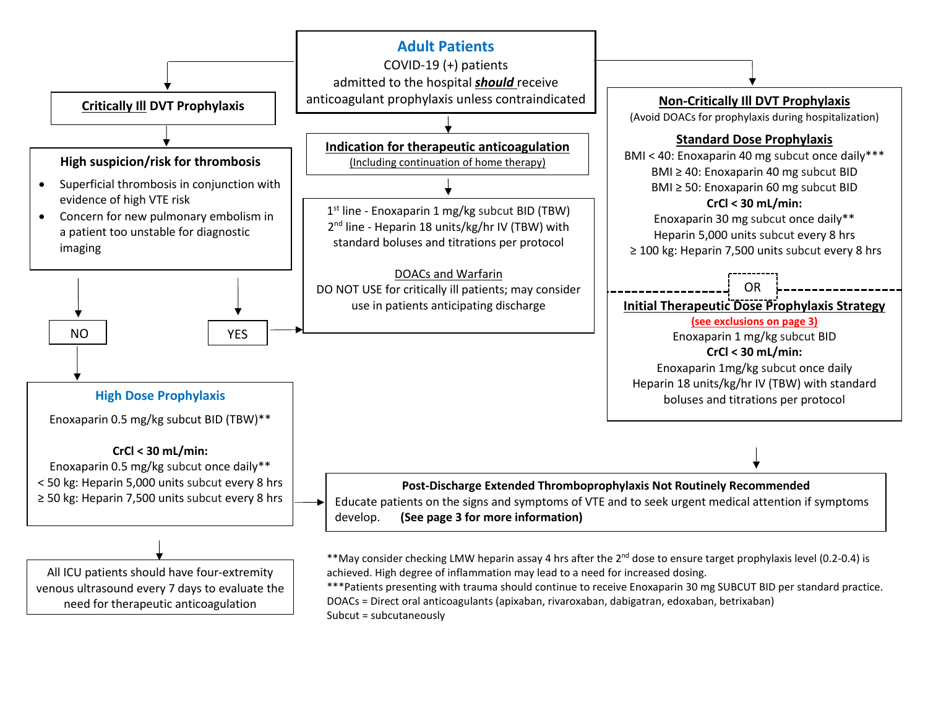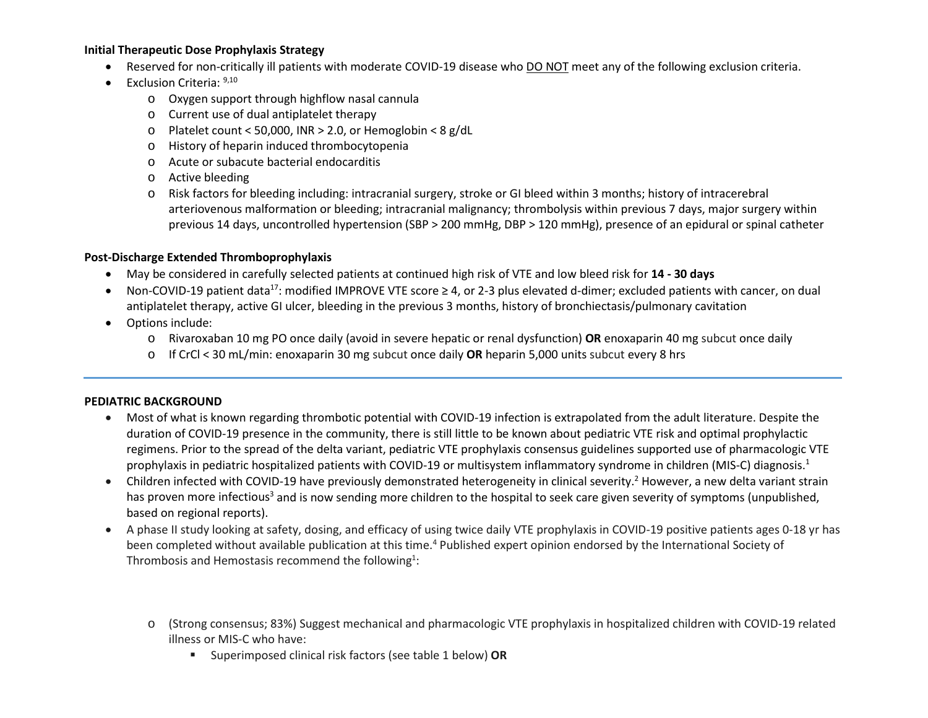### **Initial Therapeutic Dose Prophylaxis Strategy**

- Reserved for non-critically ill patients with moderate COVID-19 disease who DO NOT meet any of the following exclusion criteria.
- Exclusion Criteria:  $9,10$ 
	- o Oxygen support through highflow nasal cannula
	- o Current use of dual antiplatelet therapy
	- o Platelet count < 50,000, INR > 2.0, or Hemoglobin < 8 g/dL
	- o History of heparin induced thrombocytopenia
	- o Acute or subacute bacterial endocarditis
	- o Active bleeding
	- arteriovenous malformation or bleeding; intracranial malignancy; thrombolysis within previous 7 days, major surgery within previous 14 days, uncontrolled hypertension (SBP > 200 mmHg, DBP > 120 mmHg), presence of an epidural or spinal catheter o Risk factors for bleeding including: intracranial surgery, stroke or GI bleed within 3 months; history of intracerebral

## **Post-Discharge Extended Thromboprophylaxis**

- May be considered in carefully selected patients at continued high risk of VTE and low bleed risk for **14 - 30 days**
- Non-COVID-19 patient data<sup>17</sup>: modified IMPROVE VTE score ≥ 4, or 2-3 plus elevated d-dimer; excluded patients with cancer, on dual antiplatelet therapy, active GI ulcer, bleeding in the previous 3 months, history of bronchiectasis/pulmonary cavitation
- Options include:
	- o Rivaroxaban 10 mg PO once daily (avoid in severe hepatic or renal dysfunction) **OR** enoxaparin 40 mg subcut once daily
	- o If CrCl < 30 mL/min: enoxaparin 30 mg subcut once daily **OR** heparin 5,000 units subcut every 8 hrs

## **PEDIATRIC BACKGROUND**

- • Most of what is known regarding thrombotic potential with COVID-19 infection is extrapolated from the adult literature. Despite the duration of COVID-19 presence in the community, there is still little to be known about pediatric VTE risk and optimal prophylactic regimens. Prior to the spread of the delta variant, pediatric VTE prophylaxis consensus guidelines supported use of pharmacologic VTE prophylaxis in pediatric hospitalized patients with COVID-19 or multisystem inflammatory syndrome in children (MIS-C) diagnosis.1
- has proven more infectious<sup>3</sup> and is now sending more children to the hospital to seek care given severity of symptoms (unpublished, • Children infected with COVID-19 have previously demonstrated heterogeneity in clinical severity.<sup>2</sup> However, a new delta variant strain based on regional reports).
- been completed without available publication at this time.<sup>4</sup> Published expert opinion endorsed by the International Society of • A phase II study looking at safety, dosing, and efficacy of using twice daily VTE prophylaxis in COVID-19 positive patients ages 0-18 yr has Thrombosis and Hemostasis recommend the following<sup>1</sup>:
	- o (Strong consensus; 83%) Suggest mechanical and pharmacologic VTE prophylaxis in hospitalized children with COVID-19 related illness or MIS-C who have:
		- Superimposed clinical risk factors (see table 1 below) **OR**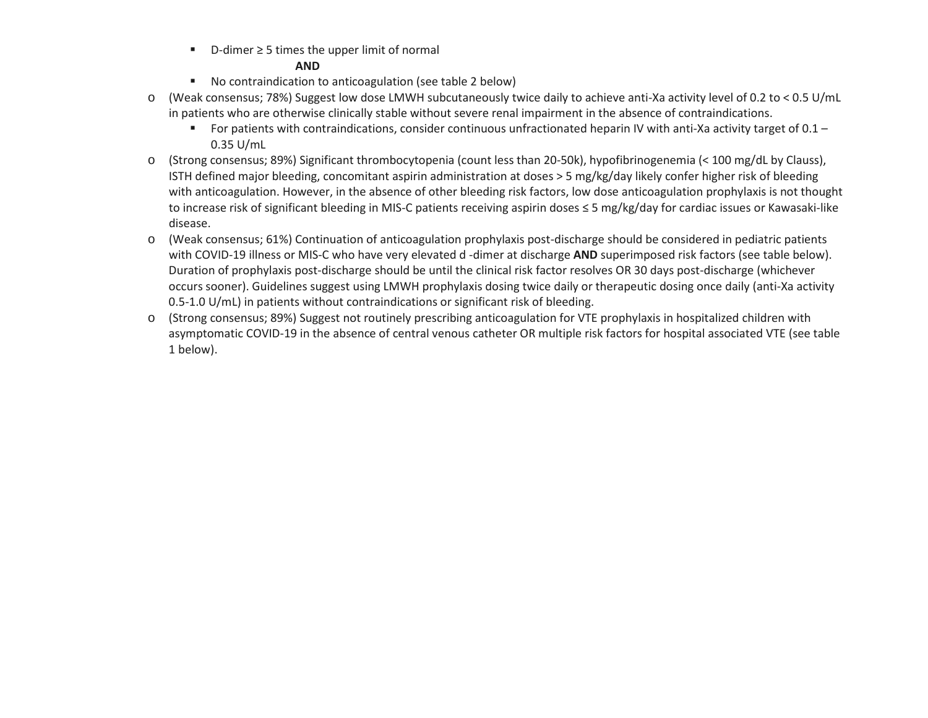■ D-dimer ≥ 5 times the upper limit of normal

### **AND**

- No contraindication to anticoagulation (see table 2 below)
- o (Weak consensus; 78%) Suggest low dose LMWH subcutaneously twice daily to achieve anti-Xa activity level of 0.2 to < 0.5 U/mL in patients who are otherwise clinically stable without severe renal impairment in the absence of contraindications.
	- For patients with contraindications, consider continuous unfractionated heparin IV with anti-Xa activity target of  $0.1 -$ 0.35 U/mL
- o (Strong consensus; 89%) Significant thrombocytopenia (count less than 20-50k), hypofibrinogenemia (< 100 mg/dL by Clauss), ISTH defined major bleeding, concomitant aspirin administration at doses > 5 mg/kg/day likely confer higher risk of bleeding with anticoagulation. However, in the absence of other bleeding risk factors, low dose anticoagulation prophylaxis is not thought to increase risk of significant bleeding in MIS-C patients receiving aspirin doses ≤ 5 mg/kg/day for cardiac issues or Kawasaki-like disease.
- with COVID-19 illness or MIS-C who have very elevated d -dimer at discharge **AND** superimposed risk factors (see table below). Duration of prophylaxis post-discharge should be until the clinical risk factor resolves OR 30 days post-discharge (whichever occurs sooner). Guidelines suggest using LMWH prophylaxis dosing twice daily or therapeutic dosing once daily (anti-Xa activity 0.5-1.0 U/mL) in patients without contraindications or significant risk of bleeding. o (Weak consensus; 61%) Continuation of anticoagulation prophylaxis post-discharge should be considered in pediatric patients
- asymptomatic COVID-19 in the absence of central venous catheter OR multiple risk factors for hospital associated VTE (see table o (Strong consensus; 89%) Suggest not routinely prescribing anticoagulation for VTE prophylaxis in hospitalized children with 1 below).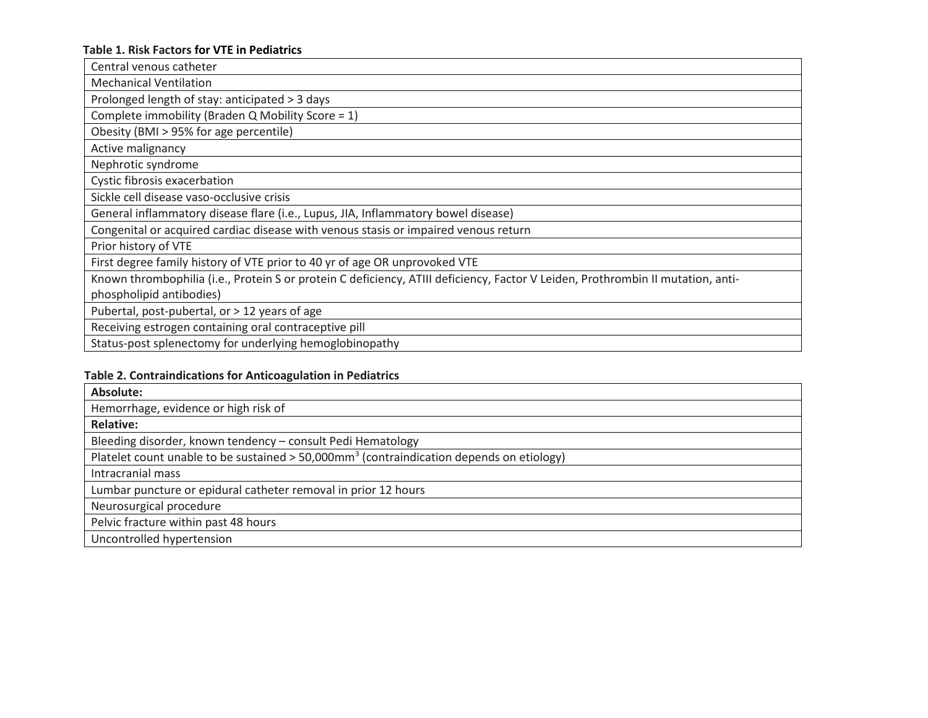# **Table 1. Risk Factors for VTE in Pediatrics**

| Central venous catheter                                                                                                         |
|---------------------------------------------------------------------------------------------------------------------------------|
| <b>Mechanical Ventilation</b>                                                                                                   |
| Prolonged length of stay: anticipated > 3 days                                                                                  |
| Complete immobility (Braden Q Mobility Score = 1)                                                                               |
| Obesity (BMI > 95% for age percentile)                                                                                          |
| Active malignancy                                                                                                               |
| Nephrotic syndrome                                                                                                              |
| Cystic fibrosis exacerbation                                                                                                    |
| Sickle cell disease vaso-occlusive crisis                                                                                       |
| General inflammatory disease flare (i.e., Lupus, JIA, Inflammatory bowel disease)                                               |
| Congenital or acquired cardiac disease with venous stasis or impaired venous return                                             |
| Prior history of VTE                                                                                                            |
| First degree family history of VTE prior to 40 yr of age OR unprovoked VTE                                                      |
| Known thrombophilia (i.e., Protein S or protein C deficiency, ATIII deficiency, Factor V Leiden, Prothrombin II mutation, anti- |
| phospholipid antibodies)                                                                                                        |
| Pubertal, post-pubertal, or > 12 years of age                                                                                   |
| Receiving estrogen containing oral contraceptive pill                                                                           |
| Status-post splenectomy for underlying hemoglobinopathy                                                                         |

# **Table 2. Contraindications for Anticoagulation in Pediatrics**

| Absolute:                                                                                            |
|------------------------------------------------------------------------------------------------------|
| Hemorrhage, evidence or high risk of                                                                 |
| <b>Relative:</b>                                                                                     |
| Bleeding disorder, known tendency - consult Pedi Hematology                                          |
| Platelet count unable to be sustained > 50,000mm <sup>3</sup> (contraindication depends on etiology) |
| Intracranial mass                                                                                    |
| Lumbar puncture or epidural catheter removal in prior 12 hours                                       |
| Neurosurgical procedure                                                                              |
| Pelvic fracture within past 48 hours                                                                 |
| Uncontrolled hypertension                                                                            |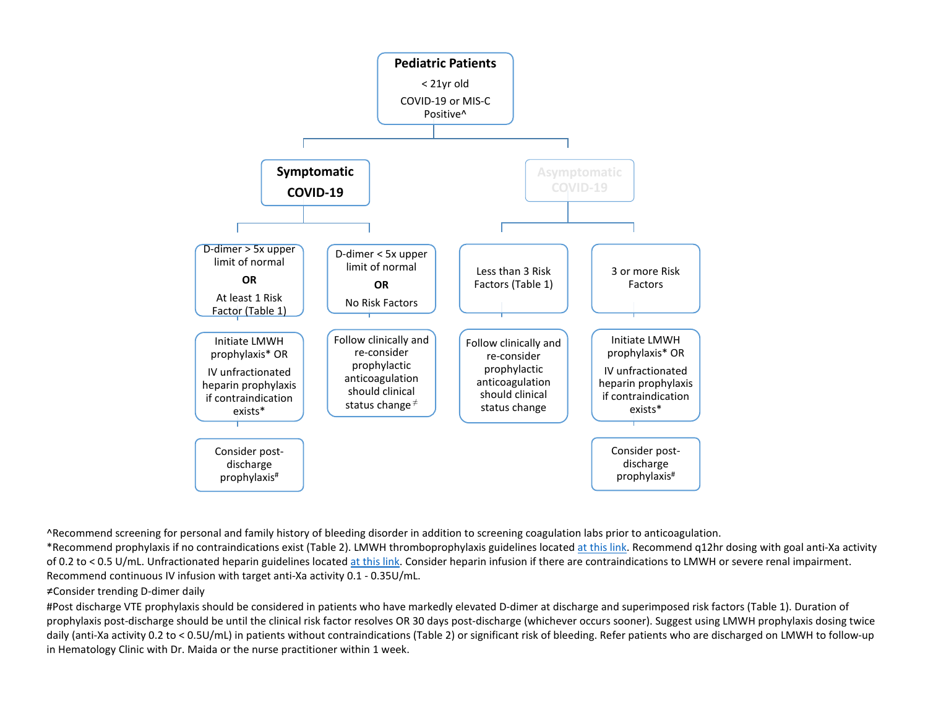

^Recommend screening for personal and family history of bleeding disorder in addition to screening coagulation labs prior to anticoagulation.

\*Recommend prophylaxis if no contraindications exist (Table 2). LMWH thromboprophylaxis guidelines located [at this link.](https://infonet/sites/pharmacy/Shared%20Documents/Anticoagulation%20Stewardship%20Program/Clinical%20Protocols/Injectable%20Anticoagulants/UHS%20Enoxaparin%20Pedi%20-%20revised%2010.18.pdf?csf=1&e=iF755Z) Recommend q12hr dosing with goal anti-Xa activity of 0.2 to < 0.5 U/mL. Unfractionated heparin guidelines located [at this link.](https://infonet/sites/pharmacy/Shared%20Documents/Anticoagulation%20Stewardship%20Program/Clinical%20Protocols/Injectable%20Anticoagulants/Heparin%20Pedi-AntiXaP%26TApproved102009UpdatedTitle.pdf?csf=1&e=ybheBL) Consider heparin infusion if there are contraindications to LMWH or severe renal impairment. Recommend continuous IV infusion with target anti-Xa activity 0.1 - 0.35U/mL.

#### ≠Consider trending D-dimer daily

in Hematology Clinic with Dr. Maida or the nurse practitioner within 1 week. #Post discharge VTE prophylaxis should be considered in patients who have markedly elevated D-dimer at discharge and superimposed risk factors (Table 1). Duration of prophylaxis post-discharge should be until the clinical risk factor resolves OR 30 days post-discharge (whichever occurs sooner). Suggest using LMWH prophylaxis dosing twice daily (anti-Xa activity 0.2 to < 0.5U/mL) in patients without contraindications (Table 2) or significant risk of bleeding. Refer patients who are discharged on LMWH to follow-up